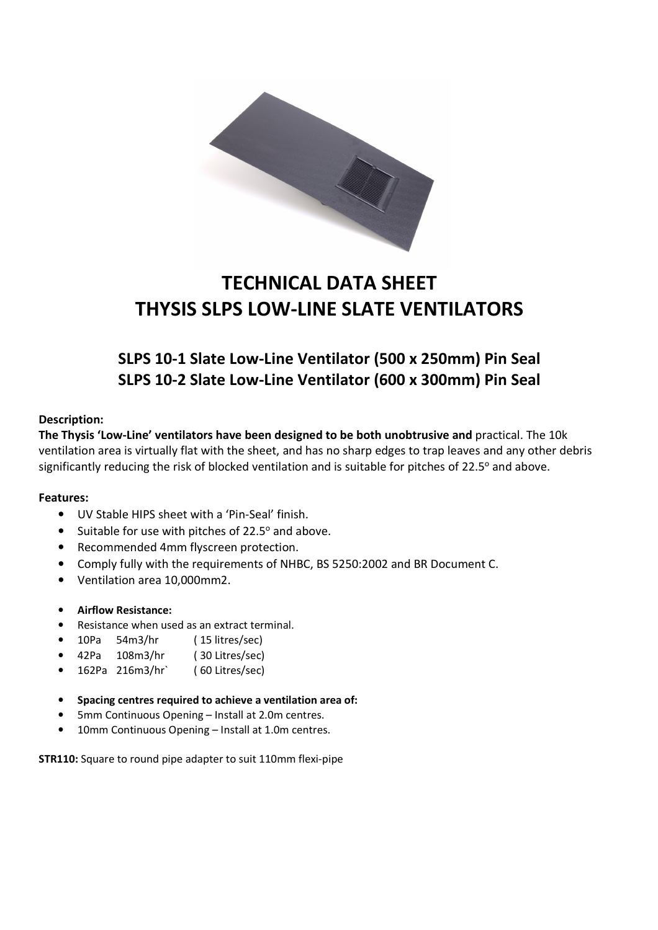

# TECHNICAL DATA SHEET THYSIS SLPS LOW-LINE SLATE VENTILATORS

## SLPS 10-1 Slate Low-Line Ventilator (500 x 250mm) Pin Seal SLPS 10-2 Slate Low-Line Ventilator (600 x 300mm) Pin Seal

#### Description:

The Thysis 'Low-Line' ventilators have been designed to be both unobtrusive and practical. The 10k ventilation area is virtually flat with the sheet, and has no sharp edges to trap leaves and any other debris significantly reducing the risk of blocked ventilation and is suitable for pitches of 22.5° and above.

#### Features:

- UV Stable HIPS sheet with a 'Pin-Seal' finish.
- Suitable for use with pitches of 22.5° and above.
- Recommended 4mm flyscreen protection.
- Comply fully with the requirements of NHBC, BS 5250:2002 and BR Document C.
- Ventilation area 10,000mm2.
- Airflow Resistance:
- Resistance when used as an extract terminal.
- 10Pa 54m3/hr ( 15 litres/sec)
- 42Pa 108m3/hr ( 30 Litres/sec)
- 162Pa 216m3/hr` ( 60 Litres/sec)
- Spacing centres required to achieve a ventilation area of:
- 5mm Continuous Opening Install at 2.0m centres.
- 10mm Continuous Opening Install at 1.0m centres.

STR110: Square to round pipe adapter to suit 110mm flexi-pipe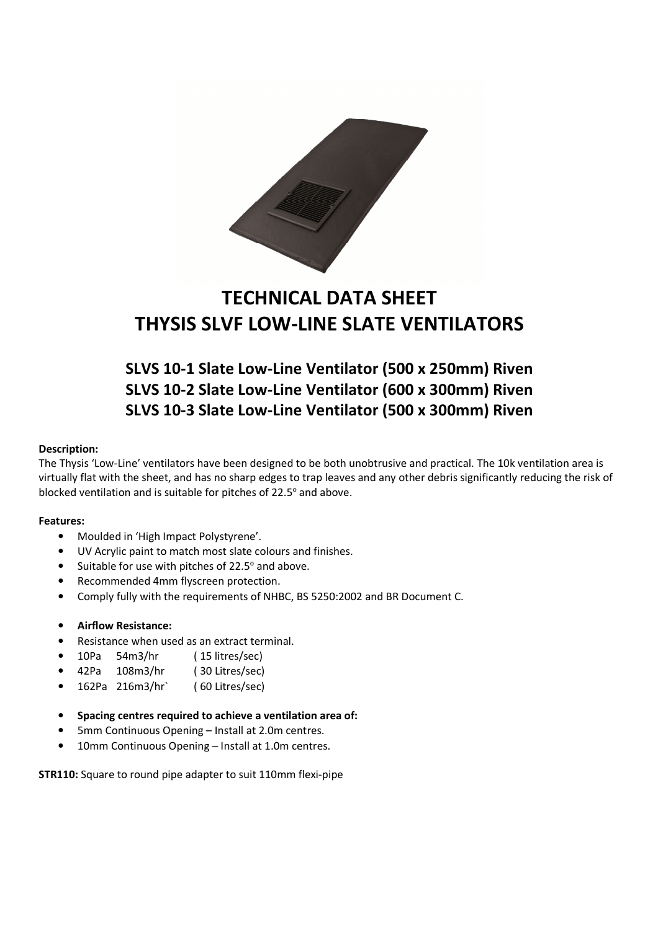

## TECHNICAL DATA SHEET THYSIS SLVF LOW-LINE SLATE VENTILATORS

### SLVS 10-1 Slate Low-Line Ventilator (500 x 250mm) Riven SLVS 10-2 Slate Low-Line Ventilator (600 x 300mm) Riven SLVS 10-3 Slate Low-Line Ventilator (500 x 300mm) Riven

#### Description:

The Thysis 'Low-Line' ventilators have been designed to be both unobtrusive and practical. The 10k ventilation area is virtually flat with the sheet, and has no sharp edges to trap leaves and any other debris significantly reducing the risk of blocked ventilation and is suitable for pitches of 22.5° and above.

#### Features:

- Moulded in 'High Impact Polystyrene'.
- UV Acrylic paint to match most slate colours and finishes.
- Suitable for use with pitches of 22.5° and above.
- Recommended 4mm flyscreen protection.
- Comply fully with the requirements of NHBC, BS 5250:2002 and BR Document C.

#### • Airflow Resistance:

- Resistance when used as an extract terminal.
- 10Pa 54m3/hr ( 15 litres/sec)
- 42Pa 108m3/hr ( 30 Litres/sec)
- 162Pa 216m3/hr` ( 60 Litres/sec)
- Spacing centres required to achieve a ventilation area of:
- 5mm Continuous Opening Install at 2.0m centres.
- 10mm Continuous Opening Install at 1.0m centres.

STR110: Square to round pipe adapter to suit 110mm flexi-pipe